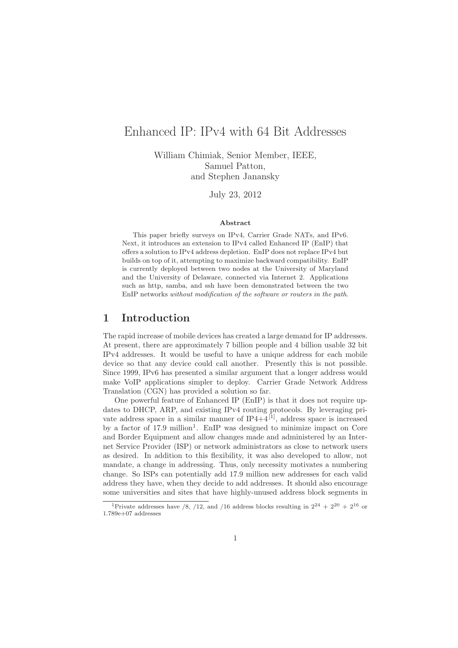# Enhanced IP: IPv4 with 64 Bit Addresses

William Chimiak, Senior Member, IEEE, Samuel Patton, and Stephen Janansky

July 23, 2012

#### Abstract

This paper briefly surveys on IPv4, Carrier Grade NATs, and IPv6. Next, it introduces an extension to IPv4 called Enhanced IP (EnIP) that offers a solution to IPv4 address depletion. EnIP does not replace IPv4 but builds on top of it, attempting to maximize backward compatibility. EnIP is currently deployed between two nodes at the University of Maryland and the University of Delaware, connected via Internet 2. Applications such as http, samba, and ssh have been demonstrated between the two EnIP networks without modification of the software or routers in the path.

## 1 Introduction

The rapid increase of mobile devices has created a large demand for IP addresses. At present, there are approximately 7 billion people and 4 billion usable 32 bit IPv4 addresses. It would be useful to have a unique address for each mobile device so that any device could call another. Presently this is not possible. Since 1999, IPv6 has presented a similar argument that a longer address would make VoIP applications simpler to deploy. Carrier Grade Network Address Translation (CGN) has provided a solution so far.

One powerful feature of Enhanced IP (EnIP) is that it does not require updates to DHCP, ARP, and existing IPv4 routing protocols. By leveraging private address space in a similar manner of  $IP4+4$ <sup>[1]</sup>, address space is increased by a factor of 17.9 million<sup>1</sup>. EnIP was designed to minimize impact on Core and Border Equipment and allow changes made and administered by an Internet Service Provider (ISP) or network administrators as close to network users as desired. In addition to this flexibility, it was also developed to allow, not mandate, a change in addressing. Thus, only necessity motivates a numbering change. So ISPs can potentially add 17.9 million new addresses for each valid address they have, when they decide to add addresses. It should also encourage some universities and sites that have highly-unused address block segments in

<sup>&</sup>lt;sup>1</sup>Private addresses have /8, /12, and /16 address blocks resulting in  $2^{24} + 2^{20} + 2^{16}$  or 1.789e+07 addresses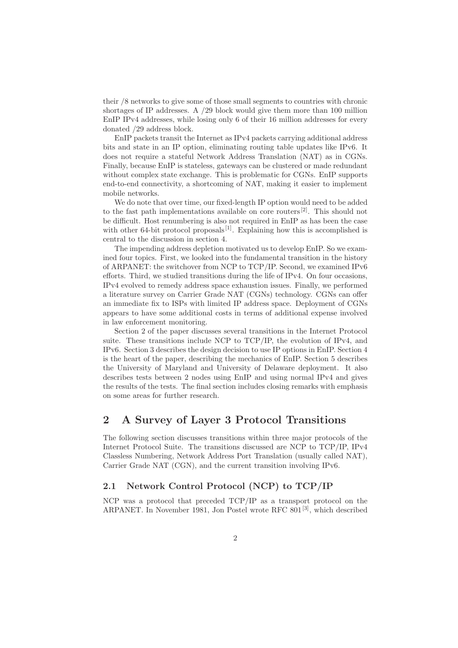their /8 networks to give some of those small segments to countries with chronic shortages of IP addresses. A /29 block would give them more than 100 million EnIP IPv4 addresses, while losing only 6 of their 16 million addresses for every donated /29 address block.

EnIP packets transit the Internet as IPv4 packets carrying additional address bits and state in an IP option, eliminating routing table updates like IPv6. It does not require a stateful Network Address Translation (NAT) as in CGNs. Finally, because EnIP is stateless, gateways can be clustered or made redundant without complex state exchange. This is problematic for CGNs. EnIP supports end-to-end connectivity, a shortcoming of NAT, making it easier to implement mobile networks.

We do note that over time, our fixed-length IP option would need to be added to the fast path implementations available on core routers<sup>[2]</sup>. This should not be difficult. Host renumbering is also not required in EnIP as has been the case with other 64-bit protocol proposals<sup>[1]</sup>. Explaining how this is accomplished is central to the discussion in section 4.

The impending address depletion motivated us to develop EnIP. So we examined four topics. First, we looked into the fundamental transition in the history of ARPANET: the switchover from NCP to TCP/IP. Second, we examined IPv6 efforts. Third, we studied transitions during the life of IPv4. On four occasions, IPv4 evolved to remedy address space exhaustion issues. Finally, we performed a literature survey on Carrier Grade NAT (CGNs) technology. CGNs can offer an immediate fix to ISPs with limited IP address space. Deployment of CGNs appears to have some additional costs in terms of additional expense involved in law enforcement monitoring.

Section 2 of the paper discusses several transitions in the Internet Protocol suite. These transitions include NCP to TCP/IP, the evolution of IPv4, and IPv6. Section 3 describes the design decision to use IP options in EnIP. Section 4 is the heart of the paper, describing the mechanics of EnIP. Section 5 describes the University of Maryland and University of Delaware deployment. It also describes tests between 2 nodes using EnIP and using normal IPv4 and gives the results of the tests. The final section includes closing remarks with emphasis on some areas for further research.

## 2 A Survey of Layer 3 Protocol Transitions

The following section discusses transitions within three major protocols of the Internet Protocol Suite. The transitions discussed are NCP to TCP/IP, IPv4 Classless Numbering, Network Address Port Translation (usually called NAT), Carrier Grade NAT (CGN), and the current transition involving IPv6.

## 2.1 Network Control Protocol (NCP) to TCP/IP

NCP was a protocol that preceded TCP/IP as a transport protocol on the ARPANET. In November 1981, Jon Postel wrote RFC 801<sup>[3]</sup>, which described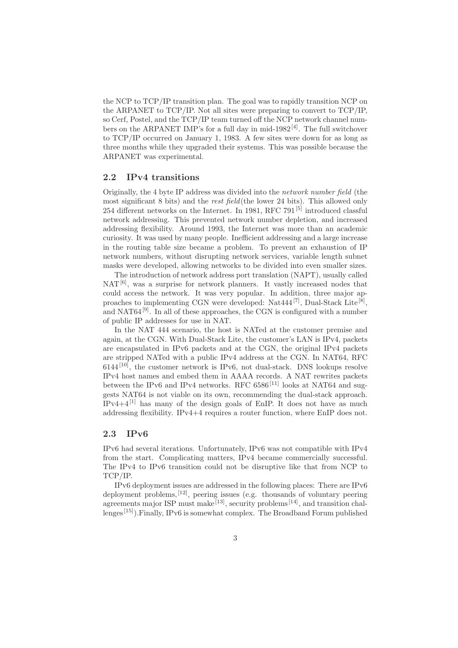the NCP to TCP/IP transition plan. The goal was to rapidly transition NCP on the ARPANET to TCP/IP. Not all sites were preparing to convert to TCP/IP, so Cerf, Postel, and the TCP/IP team turned off the NCP network channel numbers on the ARPANET IMP's for a full day in mid-1982<sup>[4]</sup>. The full switchover to TCP/IP occurred on January 1, 1983. A few sites were down for as long as three months while they upgraded their systems. This was possible because the ARPANET was experimental.

#### 2.2 IPv4 transitions

Originally, the 4 byte IP address was divided into the network number field (the most significant 8 bits) and the rest field(the lower 24 bits). This allowed only 254 different networks on the Internet. In 1981, RFC 791 $[5]$  introduced classful network addressing. This prevented network number depletion, and increased addressing flexibility. Around 1993, the Internet was more than an academic curiosity. It was used by many people. Inefficient addressing and a large increase in the routing table size became a problem. To prevent an exhaustion of IP network numbers, without disrupting network services, variable length subnet masks were developed, allowing networks to be divided into even smaller sizes.

The introduction of network address port translation (NAPT), usually called  $NAT<sup>[6]</sup>$ , was a surprise for network planners. It vastly increased nodes that could access the network. It was very popular. In addition, three major approaches to implementing CGN were developed: Nat444<sup>[7]</sup>, Dual-Stack Lite<sup>[8]</sup>, and NAT64 $[9]$ . In all of these approaches, the CGN is configured with a number of public IP addresses for use in NAT.

In the NAT 444 scenario, the host is NATed at the customer premise and again, at the CGN. With Dual-Stack Lite, the customer's LAN is IPv4, packets are encapsulated in IPv6 packets and at the CGN, the original IPv4 packets are stripped NATed with a public IPv4 address at the CGN. In NAT64, RFC  $6144^{[10]}$ , the customer network is IPv6, not dual-stack. DNS lookups resolve IPv4 host names and embed them in AAAA records. A NAT rewrites packets between the IPv6 and IPv4 networks. RFC  $6586^{[11]}$  looks at NAT64 and suggests NAT64 is not viable on its own, recommending the dual-stack approach.  $IPv4+4^{[1]}$  has many of the design goals of EnIP. It does not have as much addressing flexibility. IPv4+4 requires a router function, where EnIP does not.

#### 2.3 IPv6

IPv6 had several iterations. Unfortunately, IPv6 was not compatible with IPv4 from the start. Complicating matters, IPv4 became commercially successful. The IPv4 to IPv6 transition could not be disruptive like that from NCP to TCP/IP.

IPv6 deployment issues are addressed in the following places: There are IPv6 deployment problems,  $[12]$ , peering issues (e.g. thousands of voluntary peering agreements major ISP must make<sup>[13]</sup>, security problems<sup>[14]</sup>, and transition challenges<sup>[15]</sup>). Finally, IPv6 is somewhat complex. The Broadband Forum published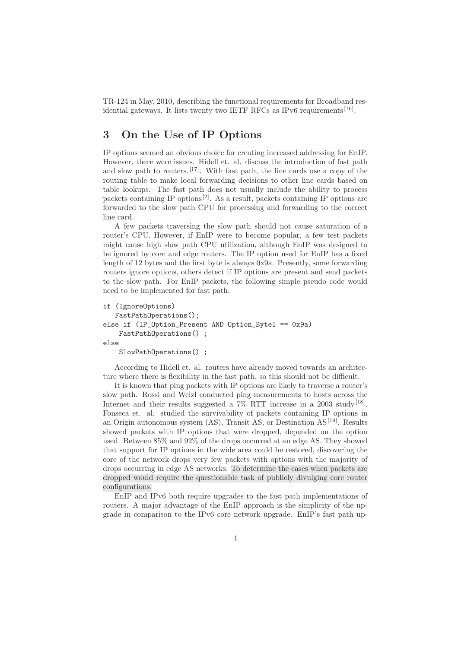TR-124 in May, 2010, describing the functional requirements for Broadband residential gateways. It lists twenty two IETF RFCs as IPv6 requirements<sup>[16]</sup>.

## 3 On the Use of IP Options

IP options seemed an obvious choice for creating increased addressing for EnIP. However, there were issues. Hidell et. al. discuss the introduction of fast path and slow path to routers.<sup>[17]</sup>. With fast path, the line cards use a copy of the routing table to make local forwarding decisions to other line cards based on table lookups. The fast path does not usually include the ability to process packets containing IP options<sup>[2]</sup>. As a result, packets containing IP options are forwarded to the slow path CPU for processing and forwarding to the correct line card.

A few packets traversing the slow path should not cause saturation of a router's CPU. However, if EnIP were to become popular, a few test packets might cause high slow path CPU utilization, although EnIP was designed to be ignored by core and edge routers. The IP option used for EnIP has a fixed length of 12 bytes and the first byte is always 0x9a. Presently, some forwarding routers ignore options, others detect if IP options are present and send packets to the slow path. For EnIP packets, the following simple pseudo code would need to be implemented for fast path:

```
if (IgnoreOptions)
   FastPathOperations();
else if (IP_Option_Present AND Option_Byte1 == 0x9a)
    FastPathOperations() ;
else
    SlowPathOperations() ;
```
According to Hidell et. al. routers have already moved towards an architecture where there is flexibility in the fast path, so this should not be difficult.

It is known that ping packets with IP options are likely to traverse a router's slow path. Rossi and Welzl conducted ping measurements to hosts across the Internet and their results suggested a  $7\%$  RTT increase in a  $2003$  study<sup>[18]</sup>. Fonseca et. al. studied the survivability of packets containing IP options in an Origin autonomous system  $(AS)$ , Transit AS, or Destination  $AS<sup>[19]</sup>$ . Results showed packets with IP options that were dropped, depended on the option used. Between 85% and 92% of the drops occurred at an edge AS. They showed that support for IP options in the wide area could be restored, discovering the core of the network drops very few packets with options with the majority of drops occurring in edge AS networks. To determine the cases when packets are dropped would require the questionable task of publicly divulging core router configurations.

EnIP and IPv6 both require upgrades to the fast path implementations of routers. A major advantage of the EnIP approach is the simplicity of the upgrade in comparison to the IPv6 core network upgrade. EnIP's fast path up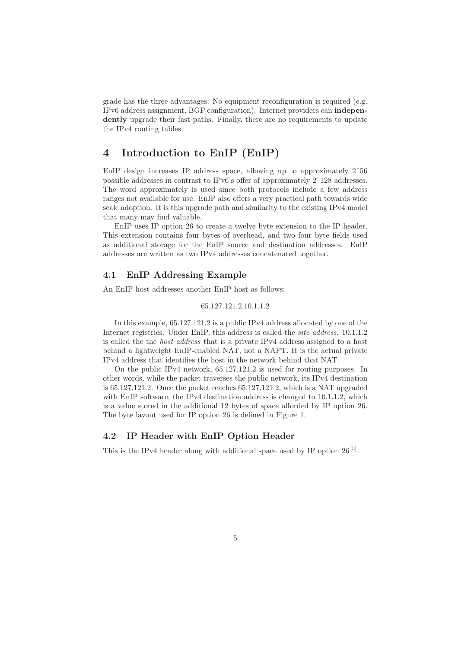grade has the three advantages: No equipment reconfiguration is required (e.g. IPv6 address assignment, BGP configuration). Internet providers can independently upgrade their fast paths. Finally, there are no requirements to update the IPv4 routing tables.

## 4 Introduction to EnIP (EnIP)

EnIP design increases IP address space, allowing up to approximately 2ˆ56 possible addresses in contrast to IPv6's offer of approximately 2ˆ128 addresses. The word approximately is used since both protocols include a few address ranges not available for use. EnIP also offers a very practical path towards wide scale adoption. It is this upgrade path and similarity to the existing IPv4 model that many may find valuable.

EnIP uses IP option 26 to create a twelve byte extension to the IP header. This extension contains four bytes of overhead, and two four byte fields used as additional storage for the EnIP source and destination addresses. EnIP addresses are written as two IPv4 addresses concatenated together.

## 4.1 EnIP Addressing Example

An EnIP host addresses another EnIP host as follows:

#### 65.127.121.2.10.1.1.2

In this example, 65.127.121.2 is a public IPv4 address allocated by one of the Internet registries. Under EnIP, this address is called the site address. 10.1.1.2 is called the the host address that is a private IPv4 address assigned to a host behind a lightweight EnIP-enabled NAT, not a NAPT. It is the actual private IPv4 address that identifies the host in the network behind that NAT.

On the public IPv4 network, 65.127.121.2 is used for routing purposes. In other words, while the packet traverses the public network, its IPv4 destination is 65.127.121.2. Once the packet reaches 65.127.121.2, which is a NAT upgraded with EnIP software, the IPv4 destination address is changed to 10.1.1.2, which is a value stored in the additional 12 bytes of space afforded by IP option 26. The byte layout used for IP option 26 is defined in Figure 1.

#### 4.2 IP Header with EnIP Option Header

This is the IPv4 header along with additional space used by IP option  $26^{[5]}$ .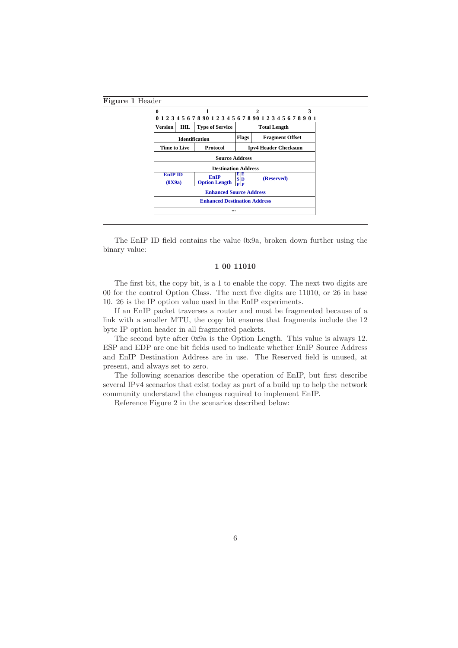

The EnIP ID field contains the value 0x9a, broken down further using the binary value:

### 1 00 11010

The first bit, the copy bit, is a 1 to enable the copy. The next two digits are 00 for the control Option Class. The next five digits are 11010, or 26 in base 10. 26 is the IP option value used in the EnIP experiments.

If an EnIP packet traverses a router and must be fragmented because of a link with a smaller MTU, the copy bit ensures that fragments include the 12 byte IP option header in all fragmented packets.

The second byte after 0x9a is the Option Length. This value is always 12. ESP and EDP are one bit fields used to indicate whether EnIP Source Address and EnIP Destination Address are in use. The Reserved field is unused, at present, and always set to zero.

The following scenarios describe the operation of EnIP, but first describe several IPv4 scenarios that exist today as part of a build up to help the network community understand the changes required to implement EnIP.

Reference Figure 2 in the scenarios described below: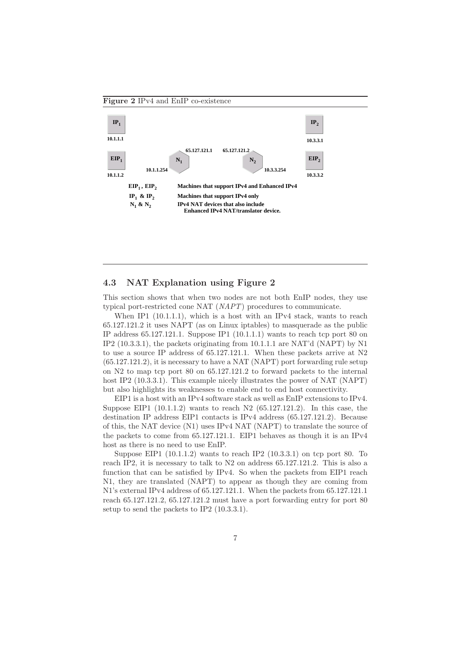Figure 2 IPv4 and EnIP co-existence



### 4.3 NAT Explanation using Figure 2

This section shows that when two nodes are not both EnIP nodes, they use typical port-restricted cone NAT (NAPT) procedures to communicate.

When IP1 (10.1.1.1), which is a host with an IPv4 stack, wants to reach 65.127.121.2 it uses NAPT (as on Linux iptables) to masquerade as the public IP address  $65.127.121.1$ . Suppose IP1  $(10.1.1.1)$  wants to reach tcp port 80 on IP2  $(10.3.3.1)$ , the packets originating from  $10.1.1.1$  are NAT'd (NAPT) by N1 to use a source IP address of 65.127.121.1. When these packets arrive at N2 (65.127.121.2), it is necessary to have a NAT (NAPT) port forwarding rule setup on N2 to map tcp port 80 on 65.127.121.2 to forward packets to the internal host IP2 (10.3.3.1). This example nicely illustrates the power of NAT (NAPT) but also highlights its weaknesses to enable end to end host connectivity.

EIP1 is a host with an IPv4 software stack as well as EnIP extensions to IPv4. Suppose EIP1 (10.1.1.2) wants to reach N2 (65.127.121.2). In this case, the destination IP address EIP1 contacts is IPv4 address (65.127.121.2). Because of this, the NAT device (N1) uses IPv4 NAT (NAPT) to translate the source of the packets to come from 65.127.121.1. EIP1 behaves as though it is an IPv4 host as there is no need to use EnIP.

Suppose EIP1  $(10.1.1.2)$  wants to reach IP2  $(10.3.3.1)$  on tcp port 80. To reach IP2, it is necessary to talk to N2 on address 65.127.121.2. This is also a function that can be satisfied by IPv4. So when the packets from EIP1 reach N1, they are translated (NAPT) to appear as though they are coming from N1's external IPv4 address of 65.127.121.1. When the packets from 65.127.121.1 reach 65.127.121.2, 65.127.121.2 must have a port forwarding entry for port 80 setup to send the packets to IP2 (10.3.3.1).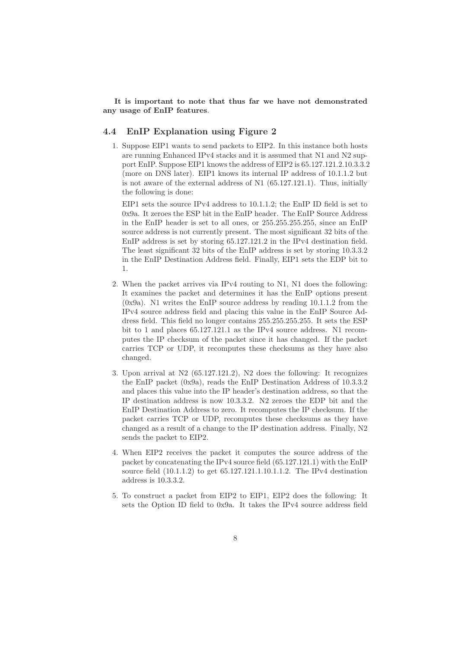#### It is important to note that thus far we have not demonstrated any usage of EnIP features.

### 4.4 EnIP Explanation using Figure 2

1. Suppose EIP1 wants to send packets to EIP2. In this instance both hosts are running Enhanced IPv4 stacks and it is assumed that N1 and N2 support EnIP. Suppose EIP1 knows the address of EIP2 is 65.127.121.2.10.3.3.2 (more on DNS later). EIP1 knows its internal IP address of 10.1.1.2 but is not aware of the external address of  $N1$  (65.127.121.1). Thus, initially the following is done:

EIP1 sets the source IPv4 address to 10.1.1.2; the EnIP ID field is set to 0x9a. It zeroes the ESP bit in the EnIP header. The EnIP Source Address in the EnIP header is set to all ones, or 255.255.255.255, since an EnIP source address is not currently present. The most significant 32 bits of the EnIP address is set by storing 65.127.121.2 in the IPv4 destination field. The least significant 32 bits of the EnIP address is set by storing 10.3.3.2 in the EnIP Destination Address field. Finally, EIP1 sets the EDP bit to 1.

- 2. When the packet arrives via IPv4 routing to N1, N1 does the following: It examines the packet and determines it has the EnIP options present (0x9a). N1 writes the EnIP source address by reading 10.1.1.2 from the IPv4 source address field and placing this value in the EnIP Source Address field. This field no longer contains 255.255.255.255. It sets the ESP bit to 1 and places 65.127.121.1 as the IPv4 source address. N1 recomputes the IP checksum of the packet since it has changed. If the packet carries TCP or UDP, it recomputes these checksums as they have also changed.
- 3. Upon arrival at N2 (65.127.121.2), N2 does the following: It recognizes the EnIP packet (0x9a), reads the EnIP Destination Address of 10.3.3.2 and places this value into the IP header's destination address, so that the IP destination address is now 10.3.3.2. N2 zeroes the EDP bit and the EnIP Destination Address to zero. It recomputes the IP checksum. If the packet carries TCP or UDP, recomputes these checksums as they have changed as a result of a change to the IP destination address. Finally, N2 sends the packet to EIP2.
- 4. When EIP2 receives the packet it computes the source address of the packet by concatenating the IPv4 source field (65.127.121.1) with the EnIP source field (10.1.1.2) to get 65.127.121.1.10.1.1.2. The IPv4 destination address is 10.3.3.2.
- 5. To construct a packet from EIP2 to EIP1, EIP2 does the following: It sets the Option ID field to 0x9a. It takes the IPv4 source address field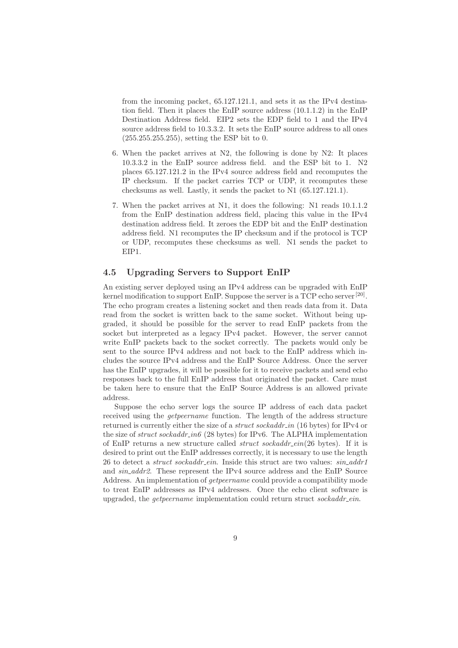from the incoming packet, 65.127.121.1, and sets it as the IPv4 destination field. Then it places the EnIP source address (10.1.1.2) in the EnIP Destination Address field. EIP2 sets the EDP field to 1 and the IPv4 source address field to 10.3.3.2. It sets the EnIP source address to all ones (255.255.255.255), setting the ESP bit to 0.

- 6. When the packet arrives at N2, the following is done by N2: It places 10.3.3.2 in the EnIP source address field. and the ESP bit to 1. N2 places 65.127.121.2 in the IPv4 source address field and recomputes the IP checksum. If the packet carries TCP or UDP, it recomputes these checksums as well. Lastly, it sends the packet to N1 (65.127.121.1).
- 7. When the packet arrives at N1, it does the following: N1 reads 10.1.1.2 from the EnIP destination address field, placing this value in the IPv4 destination address field. It zeroes the EDP bit and the EnIP destination address field. N1 recomputes the IP checksum and if the protocol is TCP or UDP, recomputes these checksums as well. N1 sends the packet to EIP1.

## 4.5 Upgrading Servers to Support EnIP

An existing server deployed using an IPv4 address can be upgraded with EnIP kernel modification to support EnIP. Suppose the server is a TCP echo server<sup>[20]</sup>. The echo program creates a listening socket and then reads data from it. Data read from the socket is written back to the same socket. Without being upgraded, it should be possible for the server to read EnIP packets from the socket but interpreted as a legacy IPv4 packet. However, the server cannot write EnIP packets back to the socket correctly. The packets would only be sent to the source IPv4 address and not back to the EnIP address which includes the source IPv4 address and the EnIP Source Address. Once the server has the EnIP upgrades, it will be possible for it to receive packets and send echo responses back to the full EnIP address that originated the packet. Care must be taken here to ensure that the EnIP Source Address is an allowed private address.

Suppose the echo server logs the source IP address of each data packet received using the getpeername function. The length of the address structure returned is currently either the size of a *struct sockaddr in* (16 bytes) for IPv4 or the size of *struct sockaddr\_in6* (28 bytes) for IPv6. The ALPHA implementation of EnIP returns a new structure called *struct sockaddr\_ein*(26 bytes). If it is desired to print out the EnIP addresses correctly, it is necessary to use the length 26 to detect a *struct sockaddr ein*. Inside this struct are two values:  $sin\_addr1$ and sin addr2. These represent the IPv4 source address and the EnIP Source Address. An implementation of getpeername could provide a compatibility mode to treat EnIP addresses as IPv4 addresses. Once the echo client software is upgraded, the *getpeername* implementation could return struct  $\mathit{sockaddr}$ -ein.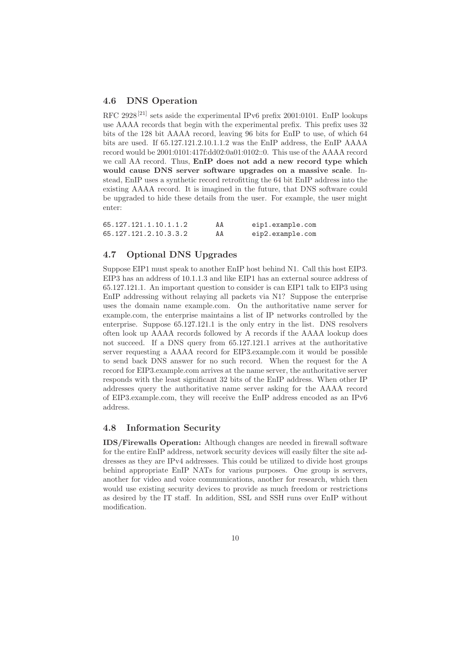### 4.6 DNS Operation

RFC 2928<sup>[21]</sup> sets aside the experimental IPv6 prefix 2001:0101. EnIP lookups use AAAA records that begin with the experimental prefix. This prefix uses 32 bits of the 128 bit AAAA record, leaving 96 bits for EnIP to use, of which 64 bits are used. If 65.127.121.2.10.1.1.2 was the EnIP address, the EnIP AAAA record would be 2001:0101:417f:dd02:0a01:0102::0. This use of the AAAA record we call AA record. Thus, EnIP does not add a new record type which would cause DNS server software upgrades on a massive scale. Instead, EnIP uses a synthetic record retrofitting the 64 bit EnIP address into the existing AAAA record. It is imagined in the future, that DNS software could be upgraded to hide these details from the user. For example, the user might enter:

| 65.127.121.1.10.1.1.2 | AA | eip1.example.com |
|-----------------------|----|------------------|
| 65.127.121.2.10.3.3.2 | AA | eip2.example.com |

#### 4.7 Optional DNS Upgrades

Suppose EIP1 must speak to another EnIP host behind N1. Call this host EIP3. EIP3 has an address of 10.1.1.3 and like EIP1 has an external source address of 65.127.121.1. An important question to consider is can EIP1 talk to EIP3 using EnIP addressing without relaying all packets via N1? Suppose the enterprise uses the domain name example.com. On the authoritative name server for example.com, the enterprise maintains a list of IP networks controlled by the enterprise. Suppose 65.127.121.1 is the only entry in the list. DNS resolvers often look up AAAA records followed by A records if the AAAA lookup does not succeed. If a DNS query from 65.127.121.1 arrives at the authoritative server requesting a AAAA record for EIP3.example.com it would be possible to send back DNS answer for no such record. When the request for the A record for EIP3.example.com arrives at the name server, the authoritative server responds with the least significant 32 bits of the EnIP address. When other IP addresses query the authoritative name server asking for the AAAA record of EIP3.example.com, they will receive the EnIP address encoded as an IPv6 address.

#### 4.8 Information Security

IDS/Firewalls Operation: Although changes are needed in firewall software for the entire EnIP address, network security devices will easily filter the site addresses as they are IPv4 addresses. This could be utilized to divide host groups behind appropriate EnIP NATs for various purposes. One group is servers, another for video and voice communications, another for research, which then would use existing security devices to provide as much freedom or restrictions as desired by the IT staff. In addition, SSL and SSH runs over EnIP without modification.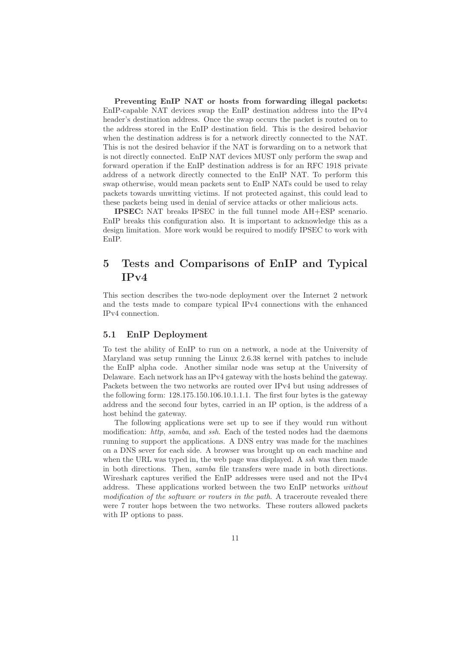Preventing EnIP NAT or hosts from forwarding illegal packets: EnIP-capable NAT devices swap the EnIP destination address into the IPv4 header's destination address. Once the swap occurs the packet is routed on to the address stored in the EnIP destination field. This is the desired behavior when the destination address is for a network directly connected to the NAT. This is not the desired behavior if the NAT is forwarding on to a network that is not directly connected. EnIP NAT devices MUST only perform the swap and forward operation if the EnIP destination address is for an RFC 1918 private address of a network directly connected to the EnIP NAT. To perform this swap otherwise, would mean packets sent to EnIP NATs could be used to relay packets towards unwitting victims. If not protected against, this could lead to these packets being used in denial of service attacks or other malicious acts.

IPSEC: NAT breaks IPSEC in the full tunnel mode AH+ESP scenario. EnIP breaks this configuration also. It is important to acknowledge this as a design limitation. More work would be required to modify IPSEC to work with EnIP.

## 5 Tests and Comparisons of EnIP and Typical IPv4

This section describes the two-node deployment over the Internet 2 network and the tests made to compare typical IPv4 connections with the enhanced IPv4 connection.

#### 5.1 EnIP Deployment

To test the ability of EnIP to run on a network, a node at the University of Maryland was setup running the Linux 2.6.38 kernel with patches to include the EnIP alpha code. Another similar node was setup at the University of Delaware. Each network has an IPv4 gateway with the hosts behind the gateway. Packets between the two networks are routed over IPv4 but using addresses of the following form: 128.175.150.106.10.1.1.1. The first four bytes is the gateway address and the second four bytes, carried in an IP option, is the address of a host behind the gateway.

The following applications were set up to see if they would run without modification: http, samba, and ssh. Each of the tested nodes had the daemons running to support the applications. A DNS entry was made for the machines on a DNS sever for each side. A browser was brought up on each machine and when the URL was typed in, the web page was displayed. A ssh was then made in both directions. Then, samba file transfers were made in both directions. Wireshark captures verified the EnIP addresses were used and not the IPv4 address. These applications worked between the two EnIP networks without modification of the software or routers in the path. A traceroute revealed there were 7 router hops between the two networks. These routers allowed packets with IP options to pass.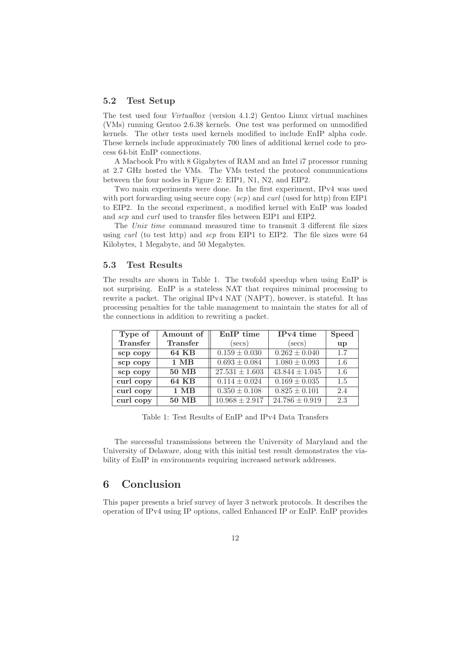#### 5.2 Test Setup

The test used four Virtualbox (version 4.1.2) Gentoo Linux virtual machines (VMs) running Gentoo 2.6.38 kernels. One test was performed on unmodified kernels. The other tests used kernels modified to include EnIP alpha code. These kernels include approximately 700 lines of additional kernel code to process 64-bit EnIP connections.

A Macbook Pro with 8 Gigabytes of RAM and an Intel i7 processor running at 2.7 GHz hosted the VMs. The VMs tested the protocol communications between the four nodes in Figure 2: EIP1, N1, N2, and EIP2.

Two main experiments were done. In the first experiment, IPv4 was used with port forwarding using secure copy  $(scp)$  and *curl* (used for http) from EIP1 to EIP2. In the second experiment, a modified kernel with EnIP was loaded and *scp* and *curl* used to transfer files between EIP1 and EIP2.

The Unix time command measured time to transmit 3 different file sizes using *curl* (to test http) and *scp* from EIP1 to EIP2. The file sizes were  $64$ Kilobytes, 1 Megabyte, and 50 Megabytes.

#### 5.3 Test Results

The results are shown in Table 1. The twofold speedup when using EnIP is not surprising. EnIP is a stateless NAT that requires minimal processing to rewrite a packet. The original IPv4 NAT (NAPT), however, is stateful. It has processing penalties for the table management to maintain the states for all of the connections in addition to rewriting a packet.

| Type of   | Amount of    | EnIP time          | IPv4 time          | <b>Speed</b> |
|-----------|--------------|--------------------|--------------------|--------------|
| Transfer  | Transfer     | $(\sec s)$         | $(\sec s)$         | up           |
| scp copy  | <b>64 KB</b> | $0.159 \pm 0.030$  | $0.262 \pm 0.040$  | 1.7          |
| scp copy  | $1$ MB       | $0.693 \pm 0.084$  | $1.080 \pm 0.093$  | 1.6          |
| scp copy  | <b>50 MB</b> | $27.531 \pm 1.603$ | $43.844 \pm 1.045$ | 1.6          |
| curl copy | $64$ KB      | $0.114 \pm 0.024$  | $0.169 \pm 0.035$  | 1.5          |
| curl copy | $1$ MB       | $0.350 \pm 0.108$  | $0.825 \pm 0.101$  | 2.4          |
| curl copy | <b>50 MB</b> | $10.968 \pm 2.917$ | $24.786 \pm 0.919$ | 2.3          |

Table 1: Test Results of EnIP and IPv4 Data Transfers

The successful transmissions between the University of Maryland and the University of Delaware, along with this initial test result demonstrates the viability of EnIP in environments requiring increased network addresses.

## 6 Conclusion

This paper presents a brief survey of layer 3 network protocols. It describes the operation of IPv4 using IP options, called Enhanced IP or EnIP. EnIP provides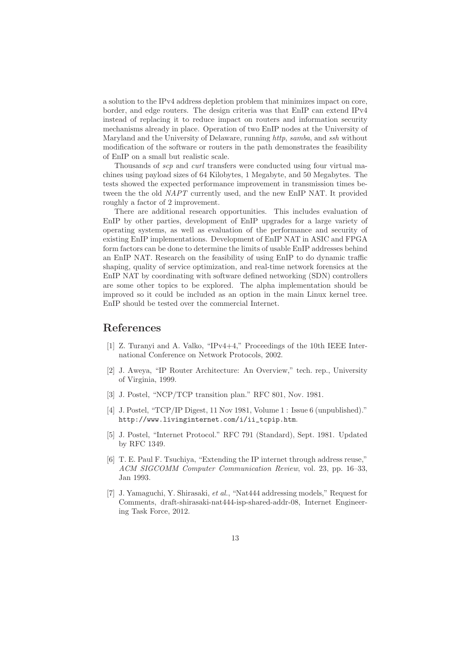a solution to the IPv4 address depletion problem that minimizes impact on core, border, and edge routers. The design criteria was that EnIP can extend IPv4 instead of replacing it to reduce impact on routers and information security mechanisms already in place. Operation of two EnIP nodes at the University of Maryland and the University of Delaware, running http, samba, and ssh without modification of the software or routers in the path demonstrates the feasibility of EnIP on a small but realistic scale.

Thousands of *scp* and *curl* transfers were conducted using four virtual machines using payload sizes of 64 Kilobytes, 1 Megabyte, and 50 Megabytes. The tests showed the expected performance improvement in transmission times between the the old NAPT currently used, and the new EnIP NAT. It provided roughly a factor of 2 improvement.

There are additional research opportunities. This includes evaluation of EnIP by other parties, development of EnIP upgrades for a large variety of operating systems, as well as evaluation of the performance and security of existing EnIP implementations. Development of EnIP NAT in ASIC and FPGA form factors can be done to determine the limits of usable EnIP addresses behind an EnIP NAT. Research on the feasibility of using EnIP to do dynamic traffic shaping, quality of service optimization, and real-time network forensics at the EnIP NAT by coordinating with software defined networking (SDN) controllers are some other topics to be explored. The alpha implementation should be improved so it could be included as an option in the main Linux kernel tree. EnIP should be tested over the commercial Internet.

## References

- [1] Z. Turanyi and A. Valko, "IPv4+4," Proceedings of the 10th IEEE International Conference on Network Protocols, 2002.
- [2] J. Aweya, "IP Router Architecture: An Overview," tech. rep., University of Virginia, 1999.
- [3] J. Postel, "NCP/TCP transition plan." RFC 801, Nov. 1981.
- [4] J. Postel, "TCP/IP Digest, 11 Nov 1981, Volume 1 : Issue 6 (unpublished)." http://www.livinginternet.com/i/ii\_tcpip.htm.
- [5] J. Postel, "Internet Protocol." RFC 791 (Standard), Sept. 1981. Updated by RFC 1349.
- [6] T. E. Paul F. Tsuchiya, "Extending the IP internet through address reuse," ACM SIGCOMM Computer Communication Review, vol. 23, pp. 16–33, Jan 1993.
- [7] J. Yamaguchi, Y. Shirasaki, et al., "Nat444 addressing models," Request for Comments, draft-shirasaki-nat444-isp-shared-addr-08, Internet Engineering Task Force, 2012.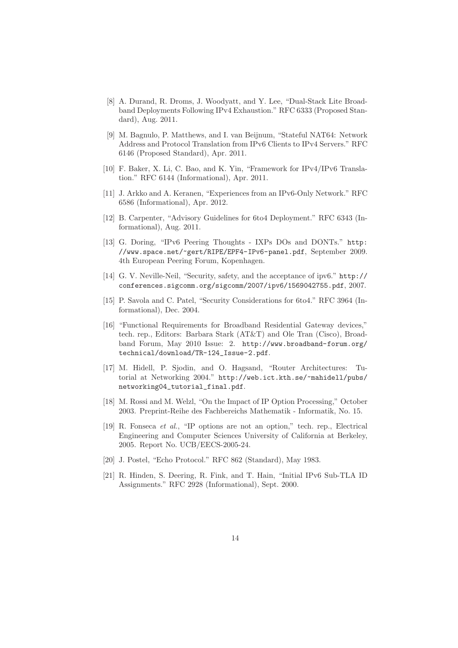- [8] A. Durand, R. Droms, J. Woodyatt, and Y. Lee, "Dual-Stack Lite Broadband Deployments Following IPv4 Exhaustion." RFC 6333 (Proposed Standard), Aug. 2011.
- [9] M. Bagnulo, P. Matthews, and I. van Beijnum, "Stateful NAT64: Network Address and Protocol Translation from IPv6 Clients to IPv4 Servers." RFC 6146 (Proposed Standard), Apr. 2011.
- [10] F. Baker, X. Li, C. Bao, and K. Yin, "Framework for IPv4/IPv6 Translation." RFC 6144 (Informational), Apr. 2011.
- [11] J. Arkko and A. Keranen, "Experiences from an IPv6-Only Network." RFC 6586 (Informational), Apr. 2012.
- [12] B. Carpenter, "Advisory Guidelines for 6to4 Deployment." RFC 6343 (Informational), Aug. 2011.
- [13] G. Doring, "IPv6 Peering Thoughts IXPs DOs and DONTs." http: //www.space.net/~gert/RIPE/EPF4-IPv6-panel.pdf, September 2009. 4th European Peering Forum, Kopenhagen.
- [14] G. V. Neville-Neil, "Security, safety, and the acceptance of ipv6." http:// conferences.sigcomm.org/sigcomm/2007/ipv6/1569042755.pdf, 2007.
- [15] P. Savola and C. Patel, "Security Considerations for 6to4." RFC 3964 (Informational), Dec. 2004.
- [16] "Functional Requirements for Broadband Residential Gateway devices," tech. rep., Editors: Barbara Stark (AT&T) and Ole Tran (Cisco), Broadband Forum, May 2010 Issue: 2. http://www.broadband-forum.org/ technical/download/TR-124\_Issue-2.pdf.
- [17] M. Hidell, P. Sjodin, and O. Hagsand, "Router Architectures: Tutorial at Networking 2004." http://web.ict.kth.se/~mahidell/pubs/ networking04\_tutorial\_final.pdf.
- [18] M. Rossi and M. Welzl, "On the Impact of IP Option Processing," October 2003. Preprint-Reihe des Fachbereichs Mathematik - Informatik, No. 15.
- [19] R. Fonseca et al., "IP options are not an option," tech. rep., Electrical Engineering and Computer Sciences University of California at Berkeley, 2005. Report No. UCB/EECS-2005-24.
- [20] J. Postel, "Echo Protocol." RFC 862 (Standard), May 1983.
- [21] R. Hinden, S. Deering, R. Fink, and T. Hain, "Initial IPv6 Sub-TLA ID Assignments." RFC 2928 (Informational), Sept. 2000.